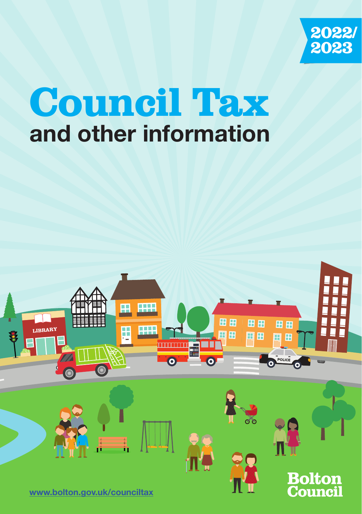

# Council Tax **and other information**

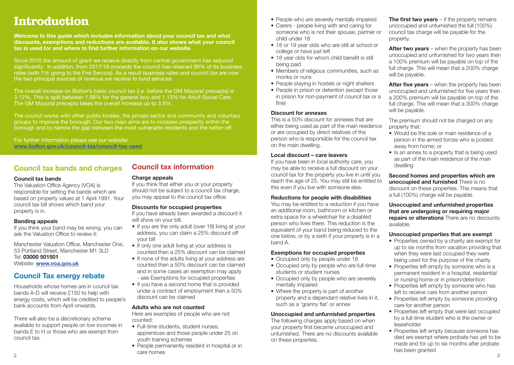# Introduction

**Welcome to this guide which includes information about your council tax and what discounts, exemptions and reductions are available. It also shows what your council tax is used for and where to find further information on our website.**

Since 2010 the amount of grant we receive directly from central government has reduced significantly. In addition, from 2017/18 onwards the council has retained 99% of its business rates (with 1% going to the Fire Service). As a result business rates and council tax are now the two principal sources of revenue we receive to fund services.

The overall increase on Bolton's basic council tax (i.e. before the GM Mayoral precepts) is 3.12%. This is split between 1.99% for the general levy and 1.13% for Adult Social Care. The GM Mayoral precepts takes the overall increase up to 3.8%.

The council works with other public bodies, the private sector and community and voluntary groups to improve the borough. Our two main aims are to increase prosperity within the borough and to narrow the gap between the most vulnerable residents and the better off.

For further information please see our website: **www.bolton.gov.uk/council-tax/council-tax-used**

#### **Council tax bands and charges**

#### **Council tax bands**

The Valuation Office Agency (VOA) is responsible for setting the bands which are based on property values at 1 April 1991. Your council tax bill shows which band your property is in.

#### **Banding appeals**

If you think your band may be wrong, you can ask the Valuation Office to review it:

Manchester Valuation Office, Manchester One, 53 Portland Street, Manchester M1 3LD Tel: **03000 501501** Website: **www.voa.gov.uk**

## **Council Tax energy rebate**

Households whose homes are in council tax bands A-D will receive £150 to help with energy costs, which will be credited to people's bank accounts from April onwards.

There will also be a discretionary scheme available to support people on low incomes in bands E to H or those who are exempt from council tax.

# **Council tax information**

#### **Charge appeals**

If you think that either you or your property should not be subject to a council tax charge, you may appeal to the council tax office.

**Discounts for occupied properties**

If you have already been awarded a discount it will show on your bill.

- If you are the only adult (over 18) living at your address, you can claim a 25% discount off your bill
- If only one adult living at your address is counted then a 25% discount can be claimed
- If none of the adults living at your address are counted then a 50% discount can be claimed and in some cases an exemption may apply - see Exemptions for occupied properties
- If you have a second home that is provided under a contract of employment then a 50% discount can be claimed

#### **Adults who are not counted**

Here are examples of people who are not counted:

- Full-time students, student nurses, apprentices and those people under 25 on youth training schemes
- <u>аметного на полновите само на подводите само на подводите само на подводите само на подводите само на подводите с</u> • People permanently resident in hospital or in care homes
- People who are severely mentally impaired
- Carers people living with and caring for someone who is not their spouse, partner or child under 18
- 18 or 19 year olds who are still at school or college or have just left
- 18 year olds for whom child benefit is still being paid
- Members of religious communities, such as monks or nuns
- People staving in hostels or night shelters
- People in prison or detention (except those in prison for non-payment of council tax or a fine)

#### **Discount for annexes**

This is a 50% discount for annexes that are either being used as part of the main residence or are occupied by direct relatives of the person who is responsible for the council tax on the main dwelling.

#### **Local discount – care leavers**

If you have been in local authority care, you may be able to receive a full discount on your council tax for the property you live in until you reach the age of 25. You may still be entitled to this even if you live with someone else.

#### **Reductions for people with disabilities**

You may be entitled to a reduction if you have an additional room, bathroom or kitchen or extra space for a wheelchair for a disabled person who lives there. This reduction is the equivalent of your band being reduced to the one below, or by a sixth if your property is in a band A.

#### **Exemptions for occupied properties**

- Occupied only by people under 18
- Occupied only by people who are full-time students or student nurses
- Occupied only by people who are severely mentally impaired
- Where the property is part of another property and a dependant relative lives in it, such as a 'granny flat' or annex

#### **Unoccupied and unfurnished properties**

The following charges apply based on when your property first became unoccupied and unfurnished. There are no discounts available on these properties.

**The first two years** – if the property remains unoccupied and unfurnished the full (100%) council tax charge will be payable for the property.

**After two years** – when the property has been unoccupied and unfurnished for two years then a 100% premium will be payable on top of the full charge. This will mean that a 200% charge will be payable.

**After five years** – when the property has been unoccupied and unfurnished for five years then a 200% premium will be payable on top of the full charge. This will mean that a 300% charge will be payable.

The premium should not be charged on any property that:

- Would be the sole or main residence of a person in the armed forces who is posted away from home; or
- Is an annex to a property that is being used as part of the main residence of the main dwelling

**Second homes and properties which are unoccupied and furnished** There is no discount on these properties. This means that a full (100%) charge will be payable.

**Unoccupied and unfurnished properties that are undergoing or requiring major repairs or alterations** There are no discounts available.

#### **Unoccupied properties that are exempt**

- Properties owned by a charity are exempt for up to six months from vacation providing that when they were last occupied they were being used for the purpose of the charity
- Properties left empty by someone who is a permanent resident in a hospital, residential or nursing home or in prison/detention
- Properties left empty by someone who has left to receive care from another person
- Properties left empty by someone providing care for another person
- Properties left empty that were last occupied by a full-time student who is the owner or leaseholder
- Properties left empty because someone has died are exempt where probate has yet to be made and for up to six months after probate has been granted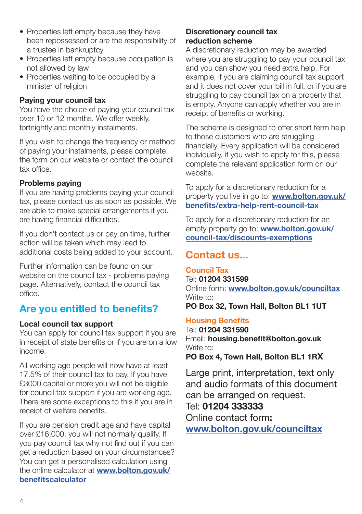- Properties left empty because they have been repossessed or are the responsibility of a trustee in bankruptcy
- Properties left empty because occupation is not allowed by law
- Properties waiting to be occupied by a minister of religion

#### **Paying your council tax**

You have the choice of paying your council tax over 10 or 12 months. We offer weekly, fortnightly and monthly instalments.

If you wish to change the frequency or method of paying your instalments, please complete the form on our website or contact the council tax office.

#### **Problems paying**

If you are having problems paying your council tax, please contact us as soon as possible. We are able to make special arrangements if you are having financial difficulties.

If you don't contact us or pay on time, further action will be taken which may lead to additional costs being added to your account.

Further information can be found on our website on the council tax - problems paying page. Alternatively, contact the council tax office.

#### **Are you entitled to benefits?**

#### **Local council tax support**

You can apply for council tax support if you are in receipt of state benefits or if you are on a low income.

All working age people will now have at least 17.5% of their council tax to pay. If you have £3000 capital or more you will not be eligible for council tax support if you are working age. There are some exceptions to this if you are in receipt of welfare benefits.

If you are pension credit age and have capital over £16,000, you will not normally qualify. If you pay council tax why not find out if you can get a reduction based on your circumstances? You can get a personalised calculation using the online calculator at **www.bolton.gov.uk/ benefitscalculator**

#### **Discretionary council tax reduction scheme**

A discretionary reduction may be awarded where you are struggling to pay your council tax and you can show you need extra help. For example, if you are claiming council tax support and it does not cover your bill in full, or if you are struggling to pay council tax on a property that is empty. Anyone can apply whether you are in receipt of benefits or working.

The scheme is designed to offer short term help to those customers who are struggling financially. Every application will be considered individually, if you wish to apply for this, please complete the relevant application form on our website.

To apply for a discretionary reduction for a property you live in go to: **www.bolton.gov.uk/ benefits/extra-help-rent-council-tax**

To apply for a discretionary reduction for an empty property go to: **www.bolton.gov.uk/ council-tax/discounts-exemptions**

#### **Contact us...**

#### **Council Tax**

Tel: **01204 331599** Online form: **www.bolton.gov.uk/counciltax** Write to: **PO Box 32, Town Hall, Bolton BL1 1UT**

#### **Housing Benefits**

Tel: **01204 331590** Email: **housing.benefit@bolton.gov.uk** Write to: **PO Box 4, Town Hall, Bolton BL1 1RX**

Large print, interpretation, text only and audio formats of this document can be arranged on request. Tel: **01204 333333** Online contact form**:**

**www.bolton.gov.uk/counciltax**